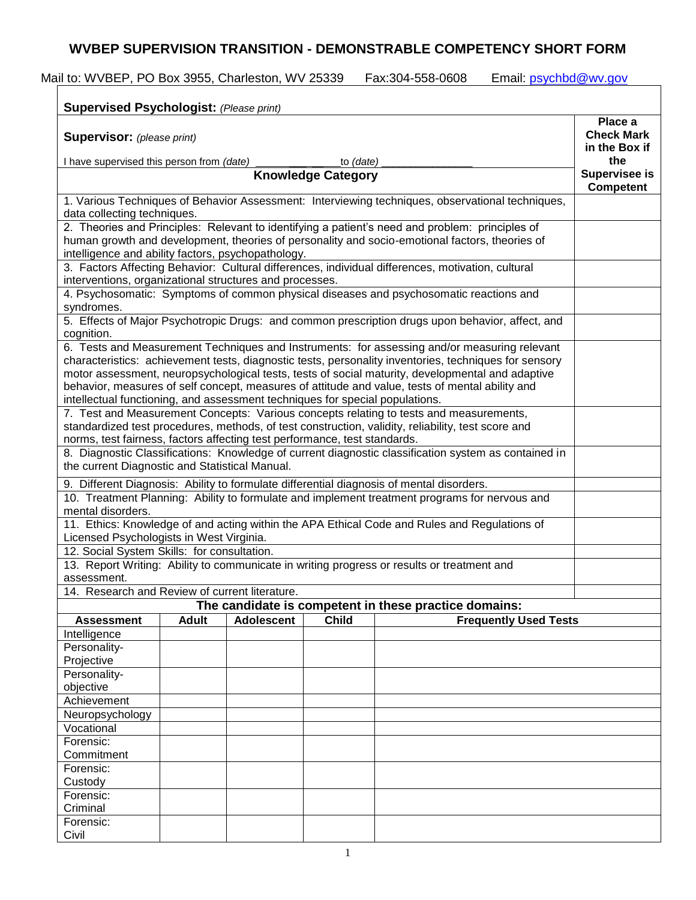## **WVBEP SUPERVISION TRANSITION - DEMONSTRABLE COMPETENCY SHORT FORM**

| <b>Supervised Psychologist: (Please print)</b>                                                                                                                                                            |              |                   |              |                                                                                                      |                                   |  |
|-----------------------------------------------------------------------------------------------------------------------------------------------------------------------------------------------------------|--------------|-------------------|--------------|------------------------------------------------------------------------------------------------------|-----------------------------------|--|
| <b>Supervisor:</b> (please print)                                                                                                                                                                         |              |                   |              |                                                                                                      |                                   |  |
| I have supervised this person from (date)<br>to (date)<br><b>Knowledge Category</b>                                                                                                                       |              |                   |              |                                                                                                      |                                   |  |
|                                                                                                                                                                                                           |              |                   |              |                                                                                                      | <b>Supervisee is</b><br>Competent |  |
| 1. Various Techniques of Behavior Assessment: Interviewing techniques, observational techniques,                                                                                                          |              |                   |              |                                                                                                      |                                   |  |
| data collecting techniques.<br>2. Theories and Principles: Relevant to identifying a patient's need and problem: principles of                                                                            |              |                   |              |                                                                                                      |                                   |  |
| human growth and development, theories of personality and socio-emotional factors, theories of                                                                                                            |              |                   |              |                                                                                                      |                                   |  |
| intelligence and ability factors, psychopathology.                                                                                                                                                        |              |                   |              |                                                                                                      |                                   |  |
|                                                                                                                                                                                                           |              |                   |              | 3. Factors Affecting Behavior: Cultural differences, individual differences, motivation, cultural    |                                   |  |
| interventions, organizational structures and processes.                                                                                                                                                   |              |                   |              |                                                                                                      |                                   |  |
| 4. Psychosomatic: Symptoms of common physical diseases and psychosomatic reactions and                                                                                                                    |              |                   |              |                                                                                                      |                                   |  |
| syndromes.                                                                                                                                                                                                |              |                   |              |                                                                                                      |                                   |  |
|                                                                                                                                                                                                           |              |                   |              | 5. Effects of Major Psychotropic Drugs: and common prescription drugs upon behavior, affect, and     |                                   |  |
| cognition.                                                                                                                                                                                                |              |                   |              |                                                                                                      |                                   |  |
| 6. Tests and Measurement Techniques and Instruments: for assessing and/or measuring relevant                                                                                                              |              |                   |              |                                                                                                      |                                   |  |
| characteristics: achievement tests, diagnostic tests, personality inventories, techniques for sensory<br>motor assessment, neuropsychological tests, tests of social maturity, developmental and adaptive |              |                   |              |                                                                                                      |                                   |  |
|                                                                                                                                                                                                           |              |                   |              | behavior, measures of self concept, measures of attitude and value, tests of mental ability and      |                                   |  |
| intellectual functioning, and assessment techniques for special populations.                                                                                                                              |              |                   |              |                                                                                                      |                                   |  |
|                                                                                                                                                                                                           |              |                   |              |                                                                                                      |                                   |  |
| 7. Test and Measurement Concepts: Various concepts relating to tests and measurements,<br>standardized test procedures, methods, of test construction, validity, reliability, test score and              |              |                   |              |                                                                                                      |                                   |  |
| norms, test fairness, factors affecting test performance, test standards.                                                                                                                                 |              |                   |              |                                                                                                      |                                   |  |
|                                                                                                                                                                                                           |              |                   |              | 8. Diagnostic Classifications: Knowledge of current diagnostic classification system as contained in |                                   |  |
| the current Diagnostic and Statistical Manual.                                                                                                                                                            |              |                   |              |                                                                                                      |                                   |  |
| 9. Different Diagnosis: Ability to formulate differential diagnosis of mental disorders.                                                                                                                  |              |                   |              |                                                                                                      |                                   |  |
|                                                                                                                                                                                                           |              |                   |              | 10. Treatment Planning: Ability to formulate and implement treatment programs for nervous and        |                                   |  |
| mental disorders.                                                                                                                                                                                         |              |                   |              |                                                                                                      |                                   |  |
|                                                                                                                                                                                                           |              |                   |              | 11. Ethics: Knowledge of and acting within the APA Ethical Code and Rules and Regulations of         |                                   |  |
| Licensed Psychologists in West Virginia.                                                                                                                                                                  |              |                   |              |                                                                                                      |                                   |  |
| 12. Social System Skills: for consultation.                                                                                                                                                               |              |                   |              |                                                                                                      |                                   |  |
|                                                                                                                                                                                                           |              |                   |              | 13. Report Writing: Ability to communicate in writing progress or results or treatment and           |                                   |  |
| assessment.<br>14. Research and Review of current literature.                                                                                                                                             |              |                   |              |                                                                                                      |                                   |  |
|                                                                                                                                                                                                           |              |                   |              | The candidate is competent in these practice domains:                                                |                                   |  |
| <b>Assessment</b>                                                                                                                                                                                         | <b>Adult</b> | <b>Adolescent</b> | <b>Child</b> | <b>Frequently Used Tests</b>                                                                         |                                   |  |
| Intelligence                                                                                                                                                                                              |              |                   |              |                                                                                                      |                                   |  |
| Personality-                                                                                                                                                                                              |              |                   |              |                                                                                                      |                                   |  |
| Projective                                                                                                                                                                                                |              |                   |              |                                                                                                      |                                   |  |
| Personality-                                                                                                                                                                                              |              |                   |              |                                                                                                      |                                   |  |
| objective                                                                                                                                                                                                 |              |                   |              |                                                                                                      |                                   |  |
| Achievement                                                                                                                                                                                               |              |                   |              |                                                                                                      |                                   |  |
| Neuropsychology                                                                                                                                                                                           |              |                   |              |                                                                                                      |                                   |  |
| Vocational                                                                                                                                                                                                |              |                   |              |                                                                                                      |                                   |  |
| Forensic:                                                                                                                                                                                                 |              |                   |              |                                                                                                      |                                   |  |
|                                                                                                                                                                                                           |              |                   |              |                                                                                                      |                                   |  |
| Commitment                                                                                                                                                                                                |              |                   |              |                                                                                                      |                                   |  |
|                                                                                                                                                                                                           |              |                   |              |                                                                                                      |                                   |  |
| Forensic:<br>Custody                                                                                                                                                                                      |              |                   |              |                                                                                                      |                                   |  |
| Forensic:                                                                                                                                                                                                 |              |                   |              |                                                                                                      |                                   |  |
| Criminal<br>Forensic:                                                                                                                                                                                     |              |                   |              |                                                                                                      |                                   |  |